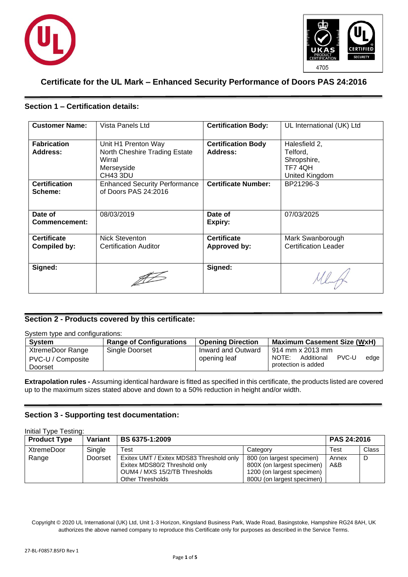



# **Certificate for the UL Mark – Enhanced Security Performance of Doors PAS 24:2016**

## **Section 1 – Certification details:**

| <b>Customer Name:</b>              | Vista Panels Ltd                                                                         | <b>Certification Body:</b>            | UL International (UK) Ltd                                            |
|------------------------------------|------------------------------------------------------------------------------------------|---------------------------------------|----------------------------------------------------------------------|
| <b>Fabrication</b><br>Address:     | Unit H1 Prenton Way<br>North Cheshire Trading Estate<br>Wirral<br>Merseyside<br>CH43 3DU | <b>Certification Body</b><br>Address: | Halesfield 2,<br>Telford,<br>Shropshire,<br>TF74QH<br>United Kingdom |
| <b>Certification</b><br>Scheme:    | <b>Enhanced Security Performance</b><br>of Doors PAS 24:2016                             | <b>Certificate Number:</b>            | BP21296-3                                                            |
| Date of<br>Commencement:           | 08/03/2019                                                                               | Date of<br>Expiry:                    | 07/03/2025                                                           |
| <b>Certificate</b><br>Compiled by: | <b>Nick Steventon</b><br><b>Certification Auditor</b>                                    | <b>Certificate</b><br>Approved by:    | Mark Swanborough<br><b>Certification Leader</b>                      |
| Signed:                            |                                                                                          | Signed:                               |                                                                      |

# **Section 2 - Products covered by this certificate:**

#### System type and configurations:

| <b>System</b>                                    | <b>Range of Configurations</b> | <b>Opening Direction</b>           | <b>Maximum Casement Size (WxH)</b>                                                  |
|--------------------------------------------------|--------------------------------|------------------------------------|-------------------------------------------------------------------------------------|
| XtremeDoor Range<br>PVC-U / Composite<br>Doorset | Single Doorset                 | Inward and Outward<br>opening leaf | l 914 mm x 2013 mm<br>PVC-U<br>NOTE:<br>Additional<br>edge  <br>protection is added |

**Extrapolation rules -** Assuming identical hardware is fitted as specified in this certificate, the products listed are covered up to the maximum sizes stated above and down to a 50% reduction in height and/or width.

### **Section 3 - Supporting test documentation:**

| Initial Type Testing: |         |                                          |                            |             |       |
|-----------------------|---------|------------------------------------------|----------------------------|-------------|-------|
| <b>Product Type</b>   | Variant | <b>BS 6375-1:2009</b>                    |                            | PAS 24:2016 |       |
| <b>XtremeDoor</b>     | Single  | Test                                     | Category                   | Test        | Class |
| Range                 | Doorset | Exitex UMT / Exitex MDS83 Threshold only | 800 (on largest specimen)  | Annex       | D     |
|                       |         | Exitex MDS80/2 Threshold only            | 800X (on largest specimen) | A&B         |       |
|                       |         | OUM4 / MXS 15/2/TB Thresholds            | 1200 (on largest specimen) |             |       |
|                       |         | <b>Other Thresholds</b>                  | 800U (on largest specimen) |             |       |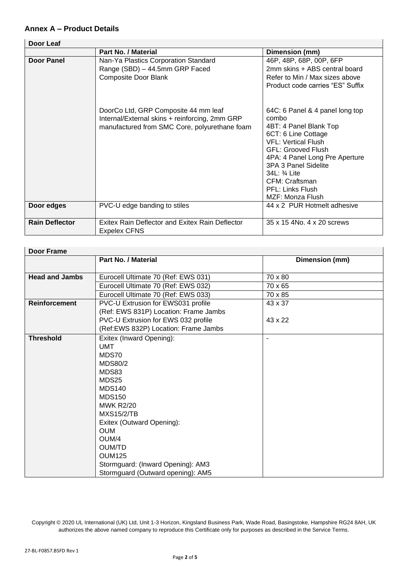# **Annex A – Product Details**

| Door Leaf             |                                                                                                                                         |                                                                                                                                                                                                                                                                                                  |
|-----------------------|-----------------------------------------------------------------------------------------------------------------------------------------|--------------------------------------------------------------------------------------------------------------------------------------------------------------------------------------------------------------------------------------------------------------------------------------------------|
|                       | Part No. / Material                                                                                                                     | Dimension (mm)                                                                                                                                                                                                                                                                                   |
| <b>Door Panel</b>     | Nan-Ya Plastics Corporation Standard<br>Range (SBD) - 44.5mm GRP Faced<br><b>Composite Door Blank</b>                                   | 46P, 48P, 68P, 00P, 6FP<br>2mm skins + ABS central board<br>Refer to Min / Max sizes above<br>Product code carries "ES" Suffix                                                                                                                                                                   |
|                       | DoorCo Ltd, GRP Composite 44 mm leaf<br>Internal/External skins + reinforcing, 2mm GRP<br>manufactured from SMC Core, polyurethane foam | 64C: 6 Panel & 4 panel long top<br>combo<br>4BT: 4 Panel Blank Top<br>6CT: 6 Line Cottage<br><b>VFL: Vertical Flush</b><br><b>GFL: Grooved Flush</b><br>4PA: 4 Panel Long Pre Aperture<br>3PA 3 Panel Sidelite<br>34L: 3/4 Lite<br>CFM: Craftsman<br><b>PFL: Links Flush</b><br>MZF: Monza Flush |
| Door edges            | PVC-U edge banding to stiles                                                                                                            | 44 x 2 PUR Hotmelt adhesive                                                                                                                                                                                                                                                                      |
| <b>Rain Deflector</b> | Exitex Rain Deflector and Exitex Rain Deflector<br><b>Expelex CFNS</b>                                                                  | 35 x 15 4No. 4 x 20 screws                                                                                                                                                                                                                                                                       |

| <b>Door Frame</b>     |                                       |                |
|-----------------------|---------------------------------------|----------------|
|                       | <b>Part No. / Material</b>            | Dimension (mm) |
|                       |                                       |                |
| <b>Head and Jambs</b> | Eurocell Ultimate 70 (Ref: EWS 031)   | 70 x 80        |
|                       | Eurocell Ultimate 70 (Ref: EWS 032)   | 70 x 65        |
|                       | Eurocell Ultimate 70 (Ref: EWS 033)   | 70 x 85        |
| <b>Reinforcement</b>  | PVC-U Extrusion for EWS031 profile    | 43 x 37        |
|                       | (Ref: EWS 831P) Location: Frame Jambs |                |
|                       | PVC-U Extrusion for EWS 032 profile   | 43 x 22        |
|                       | (Ref:EWS 832P) Location: Frame Jambs  |                |
| <b>Threshold</b>      | Exitex (Inward Opening):              |                |
|                       | <b>UMT</b>                            |                |
|                       | MDS70                                 |                |
|                       | <b>MDS80/2</b>                        |                |
|                       | MDS83                                 |                |
|                       | MDS25                                 |                |
|                       | <b>MDS140</b>                         |                |
|                       | <b>MDS150</b>                         |                |
|                       | <b>MWK R2/20</b>                      |                |
|                       | <b>MXS15/2/TB</b>                     |                |
|                       | Exitex (Outward Opening):             |                |
|                       | <b>OUM</b>                            |                |
|                       | OUM/4                                 |                |
|                       | <b>OUM/TD</b>                         |                |
|                       | <b>OUM125</b>                         |                |
|                       | Stormguard: (Inward Opening): AM3     |                |
|                       | Stormguard (Outward opening): AM5     |                |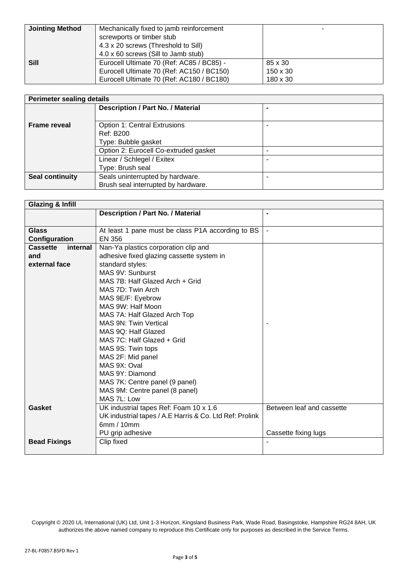| <b>Jointing Method</b> | Mechanically fixed to jamb reinforcement<br>screwports or timber stub<br>4.3 x 20 screws (Threshold to Sill)<br>4.0 x 60 screws (Sill to Jamb stub) |                                 |
|------------------------|-----------------------------------------------------------------------------------------------------------------------------------------------------|---------------------------------|
| <b>Sill</b>            | Eurocell Ultimate 70 (Ref: AC85 / BC85) -<br>Eurocell Ultimate 70 (Ref: AC150 / BC150)<br>Eurocell Ultimate 70 (Ref: AC180 / BC180)                 | 85 x 30<br>150 x 30<br>180 x 30 |

| <b>Perimeter sealing details</b> |                                          |   |
|----------------------------------|------------------------------------------|---|
|                                  | <b>Description / Part No. / Material</b> | - |
| <b>Frame reveal</b>              | <b>Option 1: Central Extrusions</b>      |   |
|                                  | <b>Ref: B200</b>                         |   |
|                                  | Type: Bubble gasket                      |   |
|                                  | Option 2: Eurocell Co-extruded gasket    | - |
|                                  | Linear / Schlegel / Exitex               | - |
|                                  | Type: Brush seal                         |   |
| <b>Seal continuity</b>           | Seals uninterrupted by hardware.         |   |
|                                  | Brush seal interrupted by hardware.      |   |

| <b>Glazing &amp; Infill</b> |                                                         |                           |
|-----------------------------|---------------------------------------------------------|---------------------------|
|                             | <b>Description / Part No. / Material</b>                | $\blacksquare$            |
|                             |                                                         |                           |
| <b>Glass</b>                | At least 1 pane must be class P1A according to BS       |                           |
| Configuration               | <b>EN 356</b>                                           |                           |
| <b>Cassette</b><br>internal | Nan-Ya plastics corporation clip and                    |                           |
| and                         | adhesive fixed glazing cassette system in               |                           |
| external face               | standard styles:                                        |                           |
|                             | MAS 9V: Sunburst                                        |                           |
|                             | MAS 7B: Half Glazed Arch + Grid                         |                           |
|                             | MAS 7D: Twin Arch                                       |                           |
|                             | MAS 9E/F: Eyebrow                                       |                           |
|                             | MAS 9W: Half Moon                                       |                           |
|                             | MAS 7A: Half Glazed Arch Top                            |                           |
|                             | MAS 9N: Twin Vertical                                   |                           |
|                             | MAS 9Q: Half Glazed                                     |                           |
|                             | MAS 7C: Half Glazed + Grid                              |                           |
|                             | MAS 9S: Twin tops                                       |                           |
|                             | MAS 2F: Mid panel                                       |                           |
|                             | MAS 9X: Oval                                            |                           |
|                             | MAS 9Y: Diamond                                         |                           |
|                             | MAS 7K: Centre panel (9 panel)                          |                           |
|                             | MAS 9M: Centre panel (8 panel)                          |                           |
|                             | MAS 7L: Low                                             |                           |
| Gasket                      | UK industrial tapes Ref: Foam 10 x 1.6                  | Between leaf and cassette |
|                             | UK industrial tapes / A.E Harris & Co. Ltd Ref: Prolink |                           |
|                             | 6mm / 10mm                                              |                           |
|                             | PU grip adhesive                                        | Cassette fixing lugs      |
| <b>Bead Fixings</b>         | Clip fixed                                              |                           |
|                             |                                                         |                           |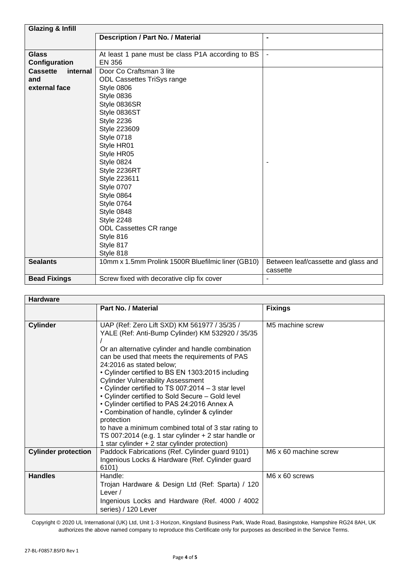| <b>Glazing &amp; Infill</b> |                                                    |                                     |
|-----------------------------|----------------------------------------------------|-------------------------------------|
|                             | <b>Description / Part No. / Material</b>           | $\blacksquare$                      |
|                             |                                                    |                                     |
| <b>Glass</b>                | At least 1 pane must be class P1A according to BS  | $\blacksquare$                      |
| Configuration               | <b>EN 356</b>                                      |                                     |
| <b>Cassette</b><br>internal | Door Co Craftsman 3 lite                           |                                     |
| and                         | <b>ODL Cassettes TriSys range</b>                  |                                     |
| external face               | Style 0806                                         |                                     |
|                             | Style 0836                                         |                                     |
|                             | Style 0836SR                                       |                                     |
|                             | Style 0836ST                                       |                                     |
|                             | Style 2236                                         |                                     |
|                             | Style 223609                                       |                                     |
|                             | Style 0718                                         |                                     |
|                             | Style HR01                                         |                                     |
|                             | Style HR05                                         |                                     |
|                             | Style 0824                                         |                                     |
|                             | Style 2236RT                                       |                                     |
|                             | Style 223611                                       |                                     |
|                             | <b>Style 0707</b>                                  |                                     |
|                             | Style 0864                                         |                                     |
|                             | Style 0764                                         |                                     |
|                             | Style 0848                                         |                                     |
|                             | Style 2248                                         |                                     |
|                             | ODL Cassettes CR range                             |                                     |
|                             | Style 816                                          |                                     |
|                             | Style 817                                          |                                     |
|                             | Style 818                                          |                                     |
| <b>Sealants</b>             | 10mm x 1.5mm Prolink 1500R Bluefilmic liner (GB10) | Between leaf/cassette and glass and |
|                             |                                                    | cassette                            |
| <b>Bead Fixings</b>         | Screw fixed with decorative clip fix cover         | ÷,                                  |

### **Hardware**

| ι ιαι νιναι σ              |                                                                                                                                                                                                                                                                                                                                                                                                                                                                                                                                                                                                                                                                                                                                 |                       |  |
|----------------------------|---------------------------------------------------------------------------------------------------------------------------------------------------------------------------------------------------------------------------------------------------------------------------------------------------------------------------------------------------------------------------------------------------------------------------------------------------------------------------------------------------------------------------------------------------------------------------------------------------------------------------------------------------------------------------------------------------------------------------------|-----------------------|--|
|                            | <b>Part No. / Material</b>                                                                                                                                                                                                                                                                                                                                                                                                                                                                                                                                                                                                                                                                                                      | <b>Fixings</b>        |  |
| <b>Cylinder</b>            | UAP (Ref: Zero Lift SXD) KM 561977 / 35/35 /<br>YALE (Ref: Anti-Bump Cylinder) KM 532920 / 35/35<br>Or an alternative cylinder and handle combination<br>can be used that meets the requirements of PAS<br>24:2016 as stated below;<br>• Cylinder certified to BS EN 1303:2015 including<br><b>Cylinder Vulnerability Assessment</b><br>• Cylinder certified to TS 007:2014 - 3 star level<br>• Cylinder certified to Sold Secure - Gold level<br>• Cylinder certified to PAS 24:2016 Annex A<br>• Combination of handle, cylinder & cylinder<br>protection<br>to have a minimum combined total of 3 star rating to<br>TS 007:2014 (e.g. 1 star cylinder $+ 2$ star handle or<br>1 star cylinder $+2$ star cylinder protection) | M5 machine screw      |  |
| <b>Cylinder protection</b> | Paddock Fabrications (Ref. Cylinder guard 9101)<br>Ingenious Locks & Hardware (Ref. Cylinder guard<br>6101)                                                                                                                                                                                                                                                                                                                                                                                                                                                                                                                                                                                                                     | M6 x 60 machine screw |  |
| <b>Handles</b>             | Handle:<br>Trojan Hardware & Design Ltd (Ref: Sparta) / 120<br>Lever $/$<br>Ingenious Locks and Hardware (Ref. 4000 / 4002<br>series) / 120 Lever                                                                                                                                                                                                                                                                                                                                                                                                                                                                                                                                                                               | M6 x 60 screws        |  |